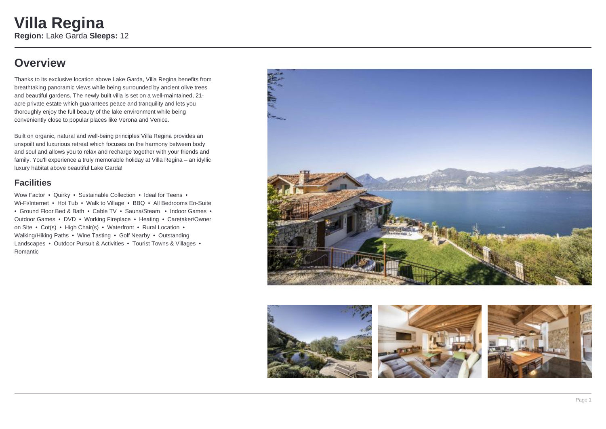## **Overview**

Thanks to its exclusive location above Lake Garda, Villa Regina benefits from breathtaking panoramic views while being surrounded by ancient olive trees and beautiful gardens. The newly built villa is set on a well-maintained, 21 acre private estate which guarantees peace and tranquility and lets you thoroughly enjoy the full beauty of the lake environment while being conveniently close to popular places like Verona and Venice.

Built on organic, natural and well-being principles Villa Regina provides an unspoilt and luxurious retreat which focuses on the harmony between body and soul and allows you to relax and recharge together with your friends and family. You'll experience a truly memorable holiday at Villa Regina – an idyllic luxury habitat above beautiful Lake Garda!

#### **Facilities**

Wow Factor • Quirky • Sustainable Collection • Ideal for Teens • Wi-Fi/Internet • Hot Tub • Walk to Village • BBQ • All Bedrooms En-Suite • Ground Floor Bed & Bath • Cable TV • Sauna/Steam • Indoor Games • Outdoor Games • DVD • Working Fireplace • Heating • Caretaker/Owner on Site • Cot(s) • High Chair(s) • Waterfront • Rural Location • Walking/Hiking Paths • Wine Tasting • Golf Nearby • Outstanding Landscapes • Outdoor Pursuit & Activities • Tourist Towns & Villages • Romantic



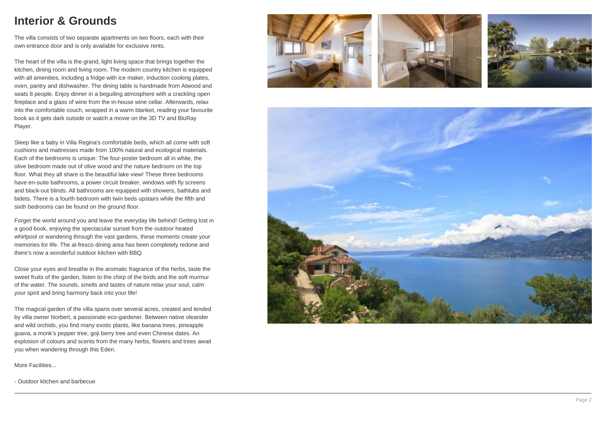## **Interior & Grounds**

The villa consists of two separate apartments on two floors, each with their own entrance door and is only available for exclusive rents.

The heart of the villa is the grand, light living space that brings together the kitchen, dining room and living room. The modern country kitchen is equipped with all amenities, including a fridge with ice maker, induction cooking plates, oven, pantry and dishwasher. The dining table is handmade from Atwood and seats 8 people. Enjoy dinner in a beguiling atmosphere with a crackling open fireplace and a glass of wine from the in-house wine cellar. Afterwards, relax into the comfortable couch, wrapped in a warm blanket, reading your favourite book as it gets dark outside or watch a movie on the 3D TV and BluRay Player.

Sleep like a baby in Villa Regina's comfortable beds, which all come with soft cushions and mattresses made from 100% natural and ecological materials. Each of the bedrooms is unique: The four-poster bedroom all in white, the olive bedroom made out of olive wood and the nature bedroom on the top floor. What they all share is the beautiful lake view! These three bedrooms have en-suite bathrooms, a power circuit breaker, windows with fly screens and black-out blinds. All bathrooms are equipped with showers, bathtubs and bidets. There is a fourth bedroom with twin beds upstairs while the fifth and sixth bedrooms can be found on the ground floor.

Forget the world around you and leave the everyday life behind! Getting lost in a good book, enjoying the spectacular sunset from the outdoor heated whirlpool or wandering through the vast gardens, these moments create your memories for life. The al-fresco dining area has been completely redone and there's now a wonderful outdoor kitchen with BBQ.

Close your eyes and breathe in the aromatic fragrance of the herbs, taste the sweet fruits of the garden, listen to the chirp of the birds and the soft murmur of the water. The sounds, smells and tastes of nature relax your soul, calm your spirit and bring harmony back into your life!

The magical garden of the villa spans over several acres, created and tended by villa owner Norbert, a passionate eco-gardener. Between native oleander and wild orchids, you find many exotic plants, like banana trees, pineapple guava, a monk's pepper tree, goji berry tree and even Chinese dates. An explosion of colours and scents from the many herbs, flowers and trees await you when wandering through this Eden.

More Facilities...

- Outdoor kitchen and barbecue







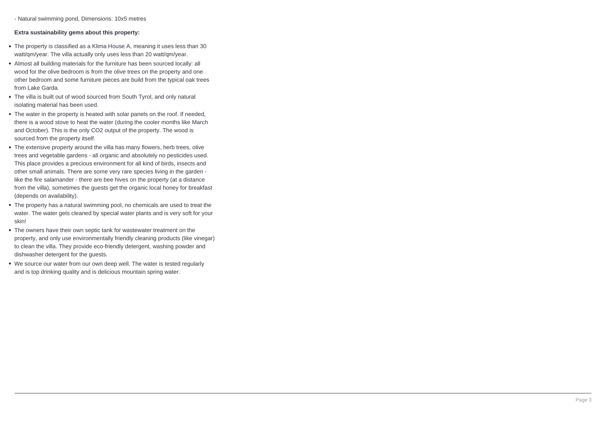- Natural swimming pond, Dimensions: 10x5 metres

#### **Extra sustainability gems about this property:**

- The property is classified as a Klima House A, meaning it uses less than 30 watt/qm/year. The villa actually only uses less than 20 watt/qm/year.
- Almost all building materials for the furniture has been sourced locally: all wood for the olive bedroom is from the olive trees on the property and one other bedroom and some furniture pieces are build from the typical oak trees from Lake Garda.
- The villa is built out of wood sourced from South Tyrol, and only natural isolating material has been used.
- The water in the property is heated with solar panels on the roof. If needed, there is a wood stove to heat the water (during the cooler months like March and October). This is the only CO2 output of the property. The wood is sourced from the property itself.
- The extensive property around the villa has many flowers, herb trees, olive trees and vegetable gardens - all organic and absolutely no pesticides used. This place provides a precious environment for all kind of birds, insects and other small animals. There are some very rare species living in the garden like the fire salamander - there are bee hives on the property (at a distance from the villa), sometimes the guests get the organic local honey for breakfast (depends on availability).
- The property has a natural swimming pool, no chemicals are used to treat the water. The water gets cleaned by special water plants and is very soft for your skin!
- The owners have their own septic tank for wastewater treatment on the property, and only use environmentally friendly cleaning products (like vinegar) to clean the villa. They provide eco-friendly detergent, washing powder and dishwasher detergent for the guests.
- We source our water from our own deep well. The water is tested regularly and is top drinking quality and is delicious mountain spring water.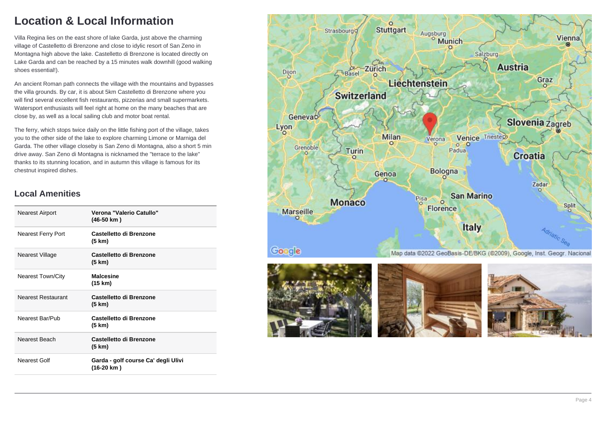# **Location & Local Information**

Villa Regina lies on the east shore of lake Garda, just above the charming village of Castelletto di Brenzone and close to idylic resort of San Zeno in Montagna high above the lake. Castelletto di Brenzone is located directly on Lake Garda and can be reached by a 15 minutes walk downhill (good walking shoes essential!).

An ancient Roman path connects the village with the mountains and bypasses the villa grounds. By car, it is about 5km Castelletto di Brenzone where you will find several excellent fish restaurants, pizzerias and small supermarkets. Watersport enthusiasts will feel right at home on the many beaches that are close by, as well as a local sailing club and motor boat rental.

The ferry, which stops twice daily on the little fishing port of the village, takes you to the other side of the lake to explore charming Limone or Marniga del Garda. The other village closeby is San Zeno di Montagna, also a short 5 min drive away. San Zeno di Montagna is nicknamed the "terrace to the lake" thanks to its stunning location, and in autumn this village is famous for its chestnut inspired dishes.

#### **Local Amenities**

| <b>Nearest Airport</b>    | Verona "Valerio Catullo"<br>$(46-50 km)$          |
|---------------------------|---------------------------------------------------|
| <b>Nearest Ferry Port</b> | Castelletto di Brenzone<br>(5 km)                 |
| Nearest Village           | Castelletto di Brenzone<br>(5 km)                 |
| <b>Nearest Town/City</b>  | <b>Malcesine</b><br>(15 km)                       |
| <b>Nearest Restaurant</b> | Castelletto di Brenzone<br>(5 km)                 |
| Nearest Bar/Pub           | Castelletto di Brenzone<br>(5 km)                 |
| Nearest Beach             | Castelletto di Brenzone<br>(5 km)                 |
| Nearest Golf              | Garda - golf course Ca' degli Ulivi<br>(16-20 km) |





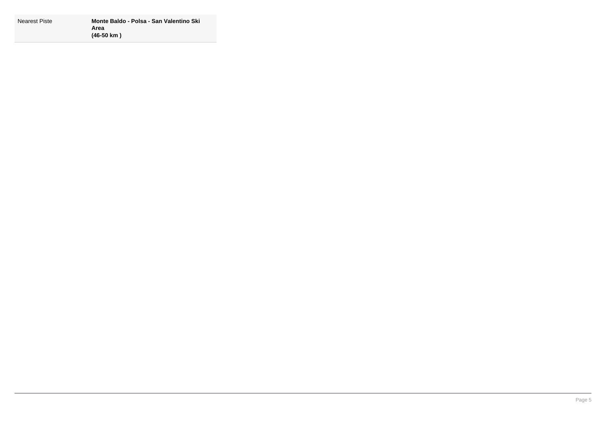| Nearest Piste | Monte Baldo - Polsa - San Valentino Ski |
|---------------|-----------------------------------------|
|               | Area                                    |
|               | $(46-50 \text{ km})$                    |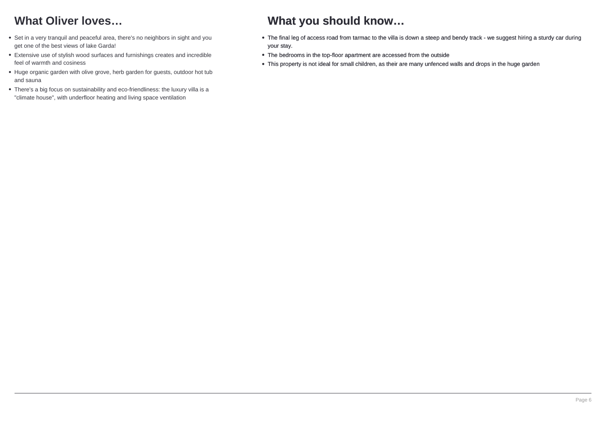# **What Oliver loves…**

- Set in a very tranquil and peaceful area, there's no neighbors in sight and you get one of the best views of lake Garda!
- Extensive use of stylish wood surfaces and furnishings creates and incredible feel of warmth and cosiness
- Huge organic garden with olive grove, herb garden for guests, outdoor hot tub and sauna
- There's a big focus on sustainability and eco-friendliness: the luxury villa is a "climate house", with underfloor heating and living space ventilation

## **What you should know…**

- The final leg of access road from tarmac to the villa is down a steep and bendy track we suggest hiring a sturdy car during your stay.
- The bedrooms in the top-floor apartment are accessed from the outside
- This property is not ideal for small children, as their are many unfenced walls and drops in the huge garden